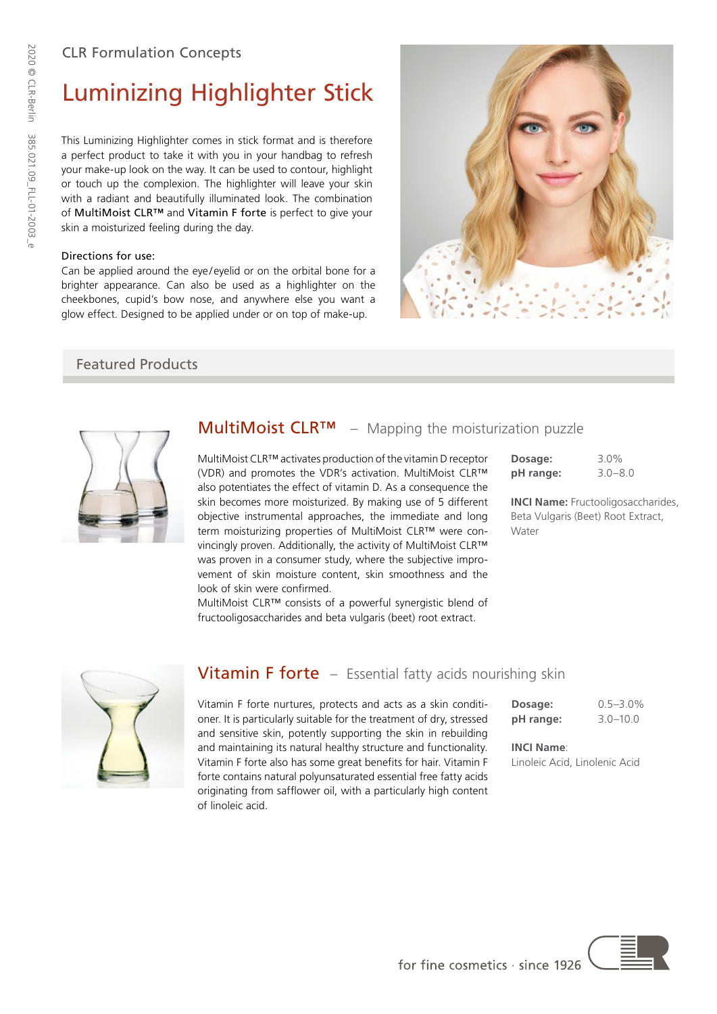# Luminizing Highlighter Stick

This Luminizing Highlighter comes in stick format and is therefore a perfect product to take it with you in your handbag to refresh your make-up look on the way. It can be used to contour, highlight or touch up the complexion. The highlighter will leave your skin with a radiant and beautifully illuminated look. The combination of MultiMoist CLR™ and Vitamin F forte is perfect to give your skin a moisturized feeling during the day.

## Directions for use:

Can be applied around the eye/ eyelid or on the orbital bone for a brighter appearance. Can also be used as a highlighter on the cheekbones, cupid's bow nose, and anywhere else you want a glow effect. Designed to be applied under or on top of make-up.



## Featured Products



# MultiMoist CLR™ – Mapping the moisturization puzzle

MultiMoist CLR™ activates production of the vitamin D receptor (VDR) and promotes the VDR's activation. MultiMoist CLR™ also potentiates the effect of vitamin D. As a consequence the skin becomes more moisturized. By making use of 5 different objective instrumental approaches, the immediate and long term moisturizing properties of MultiMoist CLR™ were convincingly proven. Additionally, the activity of MultiMoist CLR™ was proven in a consumer study, where the subjective improvement of skin moisture content, skin smoothness and the look of skin were confirmed.

| Dosage:   | $3.0\%$     |
|-----------|-------------|
| pH range: | $3.0 - 8.0$ |

**INCI Name:** Fructooligosaccharides, Beta Vulgaris (Beet) Root Extract, Water

MultiMoist CLR™ consists of a powerful synergistic blend of fructooligosaccharides and beta vulgaris (beet) root extract.



## **Vitamin F forte** – Essential fatty acids nourishing skin

Vitamin F forte nurtures, protects and acts as a skin conditioner. It is particularly suitable for the treatment of dry, stressed and sensitive skin, potently supporting the skin in rebuilding and maintaining its natural healthy structure and functionality. Vitamin F forte also has some great benefits for hair. Vitamin F forte contains natural polyunsaturated essential free fatty acids originating from safflower oil, with a particularly high content of linoleic acid.

| Dosage:   | $0.5 - 3.0\%$ |
|-----------|---------------|
| pH range: | $3.0 - 10.0$  |

**INCI Name**:

Linoleic Acid, Linolenic Acid